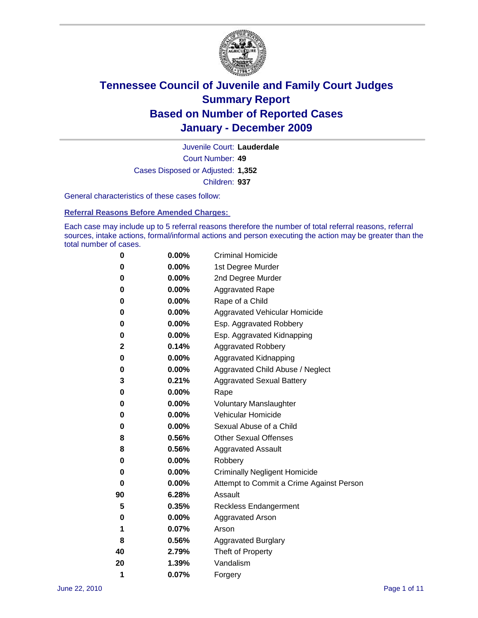

Court Number: **49** Juvenile Court: **Lauderdale** Cases Disposed or Adjusted: **1,352** Children: **937**

General characteristics of these cases follow:

**Referral Reasons Before Amended Charges:** 

Each case may include up to 5 referral reasons therefore the number of total referral reasons, referral sources, intake actions, formal/informal actions and person executing the action may be greater than the total number of cases.

| 0  | 0.00%    | <b>Criminal Homicide</b>                 |
|----|----------|------------------------------------------|
| 0  | 0.00%    | 1st Degree Murder                        |
| 0  | 0.00%    | 2nd Degree Murder                        |
| 0  | 0.00%    | <b>Aggravated Rape</b>                   |
| 0  | 0.00%    | Rape of a Child                          |
| 0  | 0.00%    | Aggravated Vehicular Homicide            |
| 0  | 0.00%    | Esp. Aggravated Robbery                  |
| 0  | 0.00%    | Esp. Aggravated Kidnapping               |
| 2  | 0.14%    | <b>Aggravated Robbery</b>                |
| 0  | 0.00%    | Aggravated Kidnapping                    |
| 0  | 0.00%    | Aggravated Child Abuse / Neglect         |
| 3  | 0.21%    | <b>Aggravated Sexual Battery</b>         |
| 0  | 0.00%    | Rape                                     |
| 0  | $0.00\%$ | <b>Voluntary Manslaughter</b>            |
| 0  | 0.00%    | Vehicular Homicide                       |
| 0  | 0.00%    | Sexual Abuse of a Child                  |
| 8  | 0.56%    | <b>Other Sexual Offenses</b>             |
| 8  | 0.56%    | <b>Aggravated Assault</b>                |
| 0  | $0.00\%$ | Robbery                                  |
| 0  | 0.00%    | <b>Criminally Negligent Homicide</b>     |
| 0  | 0.00%    | Attempt to Commit a Crime Against Person |
| 90 | 6.28%    | Assault                                  |
| 5  | 0.35%    | <b>Reckless Endangerment</b>             |
| 0  | 0.00%    | <b>Aggravated Arson</b>                  |
| 1  | 0.07%    | Arson                                    |
| 8  | 0.56%    | <b>Aggravated Burglary</b>               |
| 40 | 2.79%    | Theft of Property                        |
| 20 | 1.39%    | Vandalism                                |
| 1  | 0.07%    | Forgery                                  |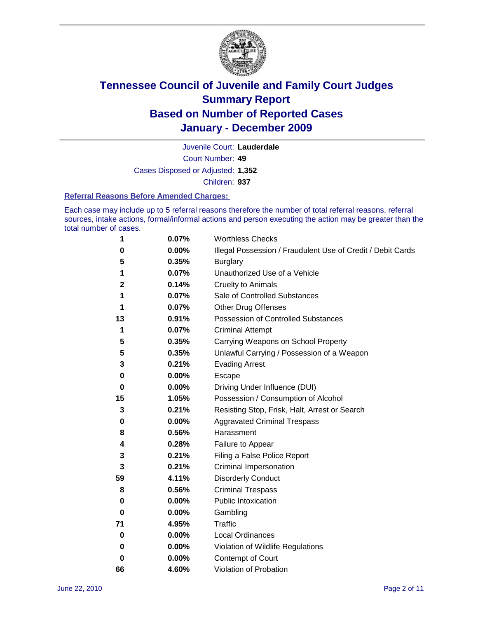

Court Number: **49** Juvenile Court: **Lauderdale** Cases Disposed or Adjusted: **1,352** Children: **937**

#### **Referral Reasons Before Amended Charges:**

Each case may include up to 5 referral reasons therefore the number of total referral reasons, referral sources, intake actions, formal/informal actions and person executing the action may be greater than the total number of cases.

| 1  | 0.07% | <b>Worthless Checks</b>                                     |
|----|-------|-------------------------------------------------------------|
| 0  | 0.00% | Illegal Possession / Fraudulent Use of Credit / Debit Cards |
| 5  | 0.35% | <b>Burglary</b>                                             |
| 1  | 0.07% | Unauthorized Use of a Vehicle                               |
| 2  | 0.14% | <b>Cruelty to Animals</b>                                   |
| 1  | 0.07% | Sale of Controlled Substances                               |
| 1  | 0.07% | <b>Other Drug Offenses</b>                                  |
| 13 | 0.91% | Possession of Controlled Substances                         |
| 1  | 0.07% | <b>Criminal Attempt</b>                                     |
| 5  | 0.35% | Carrying Weapons on School Property                         |
| 5  | 0.35% | Unlawful Carrying / Possession of a Weapon                  |
| 3  | 0.21% | <b>Evading Arrest</b>                                       |
| 0  | 0.00% | Escape                                                      |
| 0  | 0.00% | Driving Under Influence (DUI)                               |
| 15 | 1.05% | Possession / Consumption of Alcohol                         |
| 3  | 0.21% | Resisting Stop, Frisk, Halt, Arrest or Search               |
| 0  | 0.00% | <b>Aggravated Criminal Trespass</b>                         |
| 8  | 0.56% | Harassment                                                  |
| 4  | 0.28% | Failure to Appear                                           |
| 3  | 0.21% | Filing a False Police Report                                |
| 3  | 0.21% | Criminal Impersonation                                      |
| 59 | 4.11% | <b>Disorderly Conduct</b>                                   |
| 8  | 0.56% | <b>Criminal Trespass</b>                                    |
| 0  | 0.00% | <b>Public Intoxication</b>                                  |
| 0  | 0.00% | Gambling                                                    |
| 71 | 4.95% | <b>Traffic</b>                                              |
| 0  | 0.00% | <b>Local Ordinances</b>                                     |
| 0  | 0.00% | Violation of Wildlife Regulations                           |
| 0  | 0.00% | Contempt of Court                                           |
| 66 | 4.60% | Violation of Probation                                      |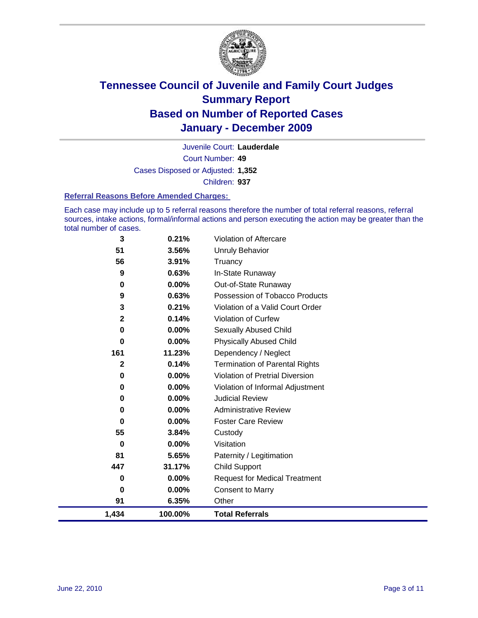

Court Number: **49** Juvenile Court: **Lauderdale** Cases Disposed or Adjusted: **1,352** Children: **937**

#### **Referral Reasons Before Amended Charges:**

Each case may include up to 5 referral reasons therefore the number of total referral reasons, referral sources, intake actions, formal/informal actions and person executing the action may be greater than the total number of cases.

| 0<br>91     | 0.00%<br>6.35%    | <b>Consent to Marry</b><br>Other                           |
|-------------|-------------------|------------------------------------------------------------|
| 0           | 0.00%             | <b>Request for Medical Treatment</b>                       |
| 447         | 31.17%            | <b>Child Support</b>                                       |
| 81          | 5.65%             | Paternity / Legitimation                                   |
| 0           | 0.00%             | Visitation                                                 |
| 55          | 3.84%             | Custody                                                    |
| 0           | 0.00%             | <b>Foster Care Review</b>                                  |
| 0           | $0.00\%$          | <b>Administrative Review</b>                               |
| 0<br>0      | 0.00%<br>$0.00\%$ | Violation of Informal Adjustment<br><b>Judicial Review</b> |
| 0           | 0.00%             | <b>Violation of Pretrial Diversion</b>                     |
| $\mathbf 2$ | 0.14%             | <b>Termination of Parental Rights</b>                      |
| 161         | 11.23%            | Dependency / Neglect                                       |
| $\bf{0}$    | 0.00%             | <b>Physically Abused Child</b>                             |
| 0           | $0.00\%$          | Sexually Abused Child                                      |
| $\mathbf 2$ | 0.14%             | Violation of Curfew                                        |
| 3           | 0.21%             | Violation of a Valid Court Order                           |
| 9           | 0.63%             | Possession of Tobacco Products                             |
| 0           | $0.00\%$          | Out-of-State Runaway                                       |
| 9           | 0.63%             | In-State Runaway                                           |
| 56          | 3.91%             | Truancy                                                    |
| 51          | 3.56%             | <b>Unruly Behavior</b>                                     |
| 3           | 0.21%             | Violation of Aftercare                                     |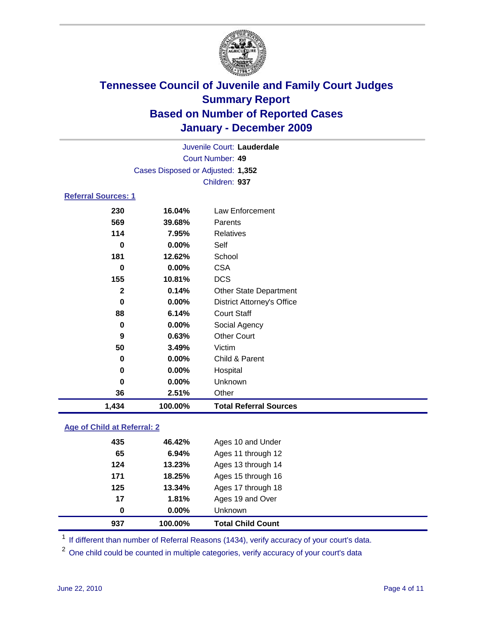

|                            |          | Juvenile Court: Lauderdale        |  |
|----------------------------|----------|-----------------------------------|--|
|                            |          | <b>Court Number: 49</b>           |  |
|                            |          | Cases Disposed or Adjusted: 1,352 |  |
|                            |          | Children: 937                     |  |
| <b>Referral Sources: 1</b> |          |                                   |  |
| 230                        | 16.04%   | Law Enforcement                   |  |
| 569                        | 39.68%   | Parents                           |  |
| 114                        | 7.95%    | <b>Relatives</b>                  |  |
| 0                          | $0.00\%$ | Self                              |  |
| 181                        | 12.62%   | School                            |  |
| 0                          | $0.00\%$ | <b>CSA</b>                        |  |
| 155                        | 10.81%   | <b>DCS</b>                        |  |
| $\mathbf{2}$               | 0.14%    | <b>Other State Department</b>     |  |
| $\bf{0}$                   | $0.00\%$ | <b>District Attorney's Office</b> |  |
| 88                         | 6.14%    | <b>Court Staff</b>                |  |
| 0                          | $0.00\%$ | Social Agency                     |  |
| 9                          | 0.63%    | <b>Other Court</b>                |  |
| 50                         | 3.49%    | Victim                            |  |
| 0                          | $0.00\%$ | Child & Parent                    |  |
| 0                          | $0.00\%$ | Hospital                          |  |
| 0                          | $0.00\%$ | Unknown                           |  |
| 36                         | 2.51%    | Other                             |  |

### **Age of Child at Referral: 2**

| 937 | 100.00%  | <b>Total Child Count</b> |  |
|-----|----------|--------------------------|--|
| 0   | $0.00\%$ | Unknown                  |  |
| 17  | 1.81%    | Ages 19 and Over         |  |
| 125 | 13.34%   | Ages 17 through 18       |  |
| 171 | 18.25%   | Ages 15 through 16       |  |
| 124 | 13.23%   | Ages 13 through 14       |  |
| 65  | 6.94%    | Ages 11 through 12       |  |
| 435 | 46.42%   | Ages 10 and Under        |  |
|     |          |                          |  |

<sup>1</sup> If different than number of Referral Reasons (1434), verify accuracy of your court's data.

<sup>2</sup> One child could be counted in multiple categories, verify accuracy of your court's data

**1,434 100.00% Total Referral Sources**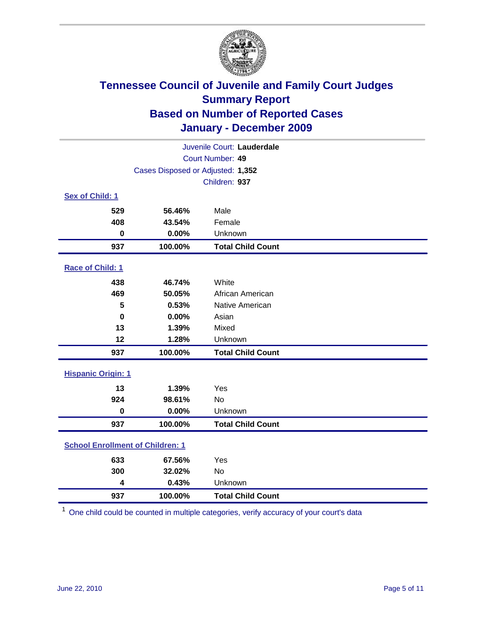

| Juvenile Court: Lauderdale              |                                   |                          |  |  |  |
|-----------------------------------------|-----------------------------------|--------------------------|--|--|--|
|                                         | <b>Court Number: 49</b>           |                          |  |  |  |
|                                         | Cases Disposed or Adjusted: 1,352 |                          |  |  |  |
|                                         | Children: 937                     |                          |  |  |  |
| Sex of Child: 1                         |                                   |                          |  |  |  |
| 529                                     | 56.46%                            | Male                     |  |  |  |
| 408                                     | 43.54%                            | Female                   |  |  |  |
| 0                                       | 0.00%                             | Unknown                  |  |  |  |
| 937                                     | 100.00%                           | <b>Total Child Count</b> |  |  |  |
| Race of Child: 1                        |                                   |                          |  |  |  |
| 438                                     | 46.74%                            | White                    |  |  |  |
| 469                                     | 50.05%                            | African American         |  |  |  |
| 5                                       | 0.53%                             | Native American          |  |  |  |
| $\mathbf 0$                             | 0.00%                             | Asian                    |  |  |  |
| 13                                      | 1.39%                             | Mixed                    |  |  |  |
| 12                                      | 1.28%                             | Unknown                  |  |  |  |
| 937                                     | 100.00%                           | <b>Total Child Count</b> |  |  |  |
| <b>Hispanic Origin: 1</b>               |                                   |                          |  |  |  |
| 13                                      | 1.39%                             | Yes                      |  |  |  |
| 924                                     | 98.61%                            | <b>No</b>                |  |  |  |
| $\mathbf 0$                             | 0.00%                             | Unknown                  |  |  |  |
| 937                                     | 100.00%                           | <b>Total Child Count</b> |  |  |  |
| <b>School Enrollment of Children: 1</b> |                                   |                          |  |  |  |
| 633                                     | 67.56%                            | Yes                      |  |  |  |
| 300                                     | 32.02%                            | No                       |  |  |  |
| 4                                       | 0.43%                             | Unknown                  |  |  |  |
| 937                                     | 100.00%                           | <b>Total Child Count</b> |  |  |  |

One child could be counted in multiple categories, verify accuracy of your court's data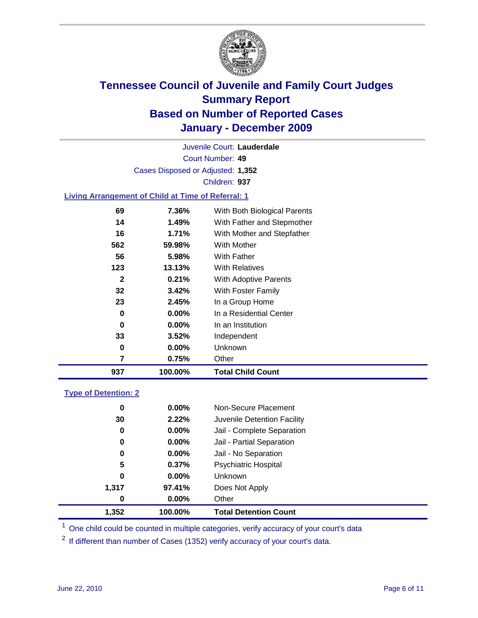

Court Number: **49** Juvenile Court: **Lauderdale** Cases Disposed or Adjusted: **1,352** Children: **937**

### **Living Arrangement of Child at Time of Referral: 1**

| 937 | 100.00%  | <b>Total Child Count</b>     |
|-----|----------|------------------------------|
| 7   | 0.75%    | Other                        |
| 0   | 0.00%    | Unknown                      |
| 33  | $3.52\%$ | Independent                  |
| 0   | 0.00%    | In an Institution            |
| 0   | $0.00\%$ | In a Residential Center      |
| 23  | 2.45%    | In a Group Home              |
| 32  | 3.42%    | With Foster Family           |
| 2   | 0.21%    | With Adoptive Parents        |
| 123 | 13.13%   | <b>With Relatives</b>        |
| 56  | 5.98%    | <b>With Father</b>           |
| 562 | 59.98%   | With Mother                  |
| 16  | 1.71%    | With Mother and Stepfather   |
| 14  | 1.49%    | With Father and Stepmother   |
| 69  | 7.36%    | With Both Biological Parents |
|     |          |                              |

#### **Type of Detention: 2**

| 1,352 | 100.00%  | <b>Total Detention Count</b> |  |
|-------|----------|------------------------------|--|
| 0     | 0.00%    | Other                        |  |
| 1,317 | 97.41%   | Does Not Apply               |  |
| 0     | $0.00\%$ | Unknown                      |  |
| 5     | 0.37%    | <b>Psychiatric Hospital</b>  |  |
| 0     | 0.00%    | Jail - No Separation         |  |
| 0     | $0.00\%$ | Jail - Partial Separation    |  |
| 0     | 0.00%    | Jail - Complete Separation   |  |
| 30    | 2.22%    | Juvenile Detention Facility  |  |
| 0     | $0.00\%$ | Non-Secure Placement         |  |
|       |          |                              |  |

<sup>1</sup> One child could be counted in multiple categories, verify accuracy of your court's data

<sup>2</sup> If different than number of Cases (1352) verify accuracy of your court's data.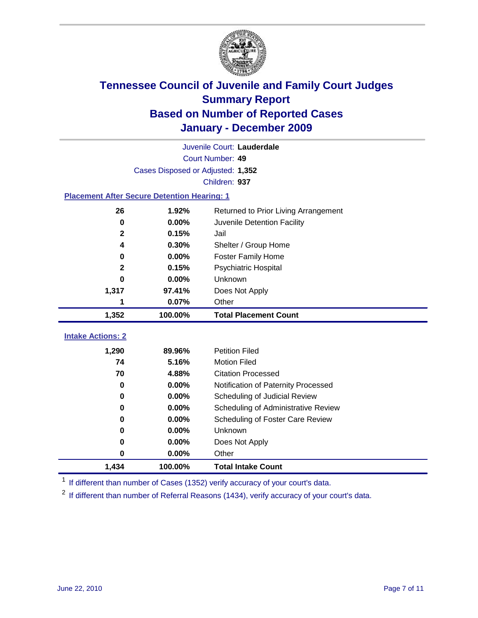

|                                                    | Juvenile Court: Lauderdale        |                                      |  |  |  |
|----------------------------------------------------|-----------------------------------|--------------------------------------|--|--|--|
|                                                    | Court Number: 49                  |                                      |  |  |  |
|                                                    | Cases Disposed or Adjusted: 1,352 |                                      |  |  |  |
|                                                    |                                   | Children: 937                        |  |  |  |
| <b>Placement After Secure Detention Hearing: 1</b> |                                   |                                      |  |  |  |
| 26                                                 | 1.92%                             | Returned to Prior Living Arrangement |  |  |  |
| 0                                                  | 0.00%                             | Juvenile Detention Facility          |  |  |  |
| 2                                                  | 0.15%                             | Jail                                 |  |  |  |
| 4                                                  | 0.30%                             | Shelter / Group Home                 |  |  |  |
| 0                                                  | 0.00%                             | Foster Family Home                   |  |  |  |
| $\mathbf{2}$                                       | 0.15%                             | Psychiatric Hospital                 |  |  |  |
| $\bf{0}$                                           | 0.00%                             | Unknown                              |  |  |  |
| 1,317                                              | 97.41%                            | Does Not Apply                       |  |  |  |
| 1                                                  | 0.07%                             | Other                                |  |  |  |
| 1,352                                              | 100.00%                           | <b>Total Placement Count</b>         |  |  |  |
|                                                    |                                   |                                      |  |  |  |
| <b>Intake Actions: 2</b>                           |                                   |                                      |  |  |  |
| 1,290                                              | 89.96%                            | <b>Petition Filed</b>                |  |  |  |
| 74                                                 | 5.16%                             | <b>Motion Filed</b>                  |  |  |  |
| 70                                                 | 4.88%                             | <b>Citation Processed</b>            |  |  |  |
| $\bf{0}$                                           | 0.00%                             | Notification of Paternity Processed  |  |  |  |
| 0                                                  | 0.00%                             | Scheduling of Judicial Review        |  |  |  |
| 0                                                  | 0.00%                             | Scheduling of Administrative Review  |  |  |  |
| 0                                                  | 0.00%                             | Scheduling of Foster Care Review     |  |  |  |
| $\bf{0}$                                           | 0.00%                             | Unknown                              |  |  |  |
| $\bf{0}$                                           | 0.00%                             | Does Not Apply                       |  |  |  |
| $\pmb{0}$                                          | 0.00%                             | Other                                |  |  |  |
| 1,434                                              | 100.00%                           | <b>Total Intake Count</b>            |  |  |  |

<sup>1</sup> If different than number of Cases (1352) verify accuracy of your court's data.

<sup>2</sup> If different than number of Referral Reasons (1434), verify accuracy of your court's data.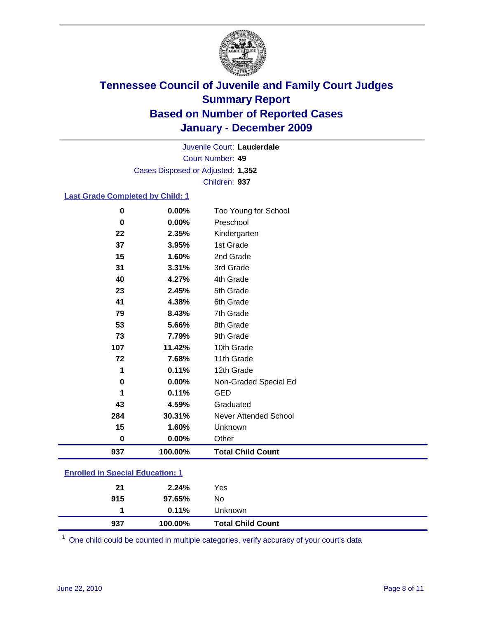

Court Number: **49** Juvenile Court: **Lauderdale** Cases Disposed or Adjusted: **1,352** Children: **937**

### **Last Grade Completed by Child: 1**

| $\pmb{0}$                               | 0.00%   | Too Young for School         |  |
|-----------------------------------------|---------|------------------------------|--|
| 0                                       | 0.00%   | Preschool                    |  |
| 22                                      | 2.35%   | Kindergarten                 |  |
| 37                                      | 3.95%   | 1st Grade                    |  |
| 15                                      | 1.60%   | 2nd Grade                    |  |
| 31                                      | 3.31%   | 3rd Grade                    |  |
| 40                                      | 4.27%   | 4th Grade                    |  |
| 23                                      | 2.45%   | 5th Grade                    |  |
| 41                                      | 4.38%   | 6th Grade                    |  |
| 79                                      | 8.43%   | 7th Grade                    |  |
| 53                                      | 5.66%   | 8th Grade                    |  |
| 73                                      | 7.79%   | 9th Grade                    |  |
| 107                                     | 11.42%  | 10th Grade                   |  |
| 72                                      | 7.68%   | 11th Grade                   |  |
| 1                                       | 0.11%   | 12th Grade                   |  |
| $\pmb{0}$                               | 0.00%   | Non-Graded Special Ed        |  |
| 1                                       | 0.11%   | <b>GED</b>                   |  |
| 43                                      | 4.59%   | Graduated                    |  |
| 284                                     | 30.31%  | <b>Never Attended School</b> |  |
| 15                                      | 1.60%   | Unknown                      |  |
| 0                                       | 0.00%   | Other                        |  |
| 937                                     | 100.00% | <b>Total Child Count</b>     |  |
| <b>Enrolled in Special Education: 1</b> |         |                              |  |

| 937            | 100.00%            | <b>Total Child Count</b> |  |
|----------------|--------------------|--------------------------|--|
| 4              | 0.11%              | Unknown                  |  |
| 915            | 97.65%             | No.                      |  |
| 21             | 2.24%              | Yes                      |  |
| -------------- | ------------------ |                          |  |

One child could be counted in multiple categories, verify accuracy of your court's data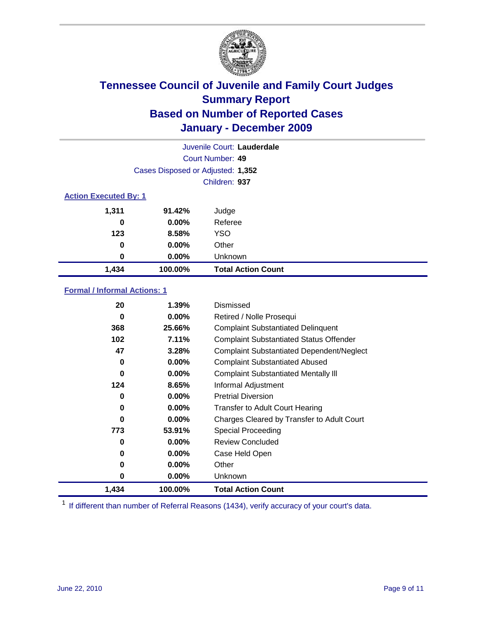

| Juvenile Court: Lauderdale   |                                   |                           |  |  |
|------------------------------|-----------------------------------|---------------------------|--|--|
|                              | Court Number: 49                  |                           |  |  |
|                              | Cases Disposed or Adjusted: 1,352 |                           |  |  |
|                              | Children: 937                     |                           |  |  |
| <b>Action Executed By: 1</b> |                                   |                           |  |  |
| 1,311                        | 91.42%                            | Judge                     |  |  |
| 0                            | $0.00\%$                          | Referee                   |  |  |
| 123                          | 8.58%                             | <b>YSO</b>                |  |  |
| 0                            | $0.00\%$                          | Other                     |  |  |
| 0                            | $0.00\%$                          | Unknown                   |  |  |
| 1,434                        | 100.00%                           | <b>Total Action Count</b> |  |  |

### **Formal / Informal Actions: 1**

| 20    | $1.39\%$ | Dismissed                                        |
|-------|----------|--------------------------------------------------|
| 0     | $0.00\%$ | Retired / Nolle Prosequi                         |
| 368   | 25.66%   | <b>Complaint Substantiated Delinquent</b>        |
| 102   | 7.11%    | <b>Complaint Substantiated Status Offender</b>   |
| 47    | 3.28%    | <b>Complaint Substantiated Dependent/Neglect</b> |
| 0     | $0.00\%$ | <b>Complaint Substantiated Abused</b>            |
| 0     | $0.00\%$ | <b>Complaint Substantiated Mentally III</b>      |
| 124   | 8.65%    | Informal Adjustment                              |
| 0     | $0.00\%$ | <b>Pretrial Diversion</b>                        |
| 0     | $0.00\%$ | <b>Transfer to Adult Court Hearing</b>           |
| 0     | $0.00\%$ | Charges Cleared by Transfer to Adult Court       |
| 773   | 53.91%   | <b>Special Proceeding</b>                        |
| 0     | $0.00\%$ | <b>Review Concluded</b>                          |
| 0     | $0.00\%$ | Case Held Open                                   |
| 0     | $0.00\%$ | Other                                            |
| 0     | $0.00\%$ | <b>Unknown</b>                                   |
| 1,434 | 100.00%  | <b>Total Action Count</b>                        |

<sup>1</sup> If different than number of Referral Reasons (1434), verify accuracy of your court's data.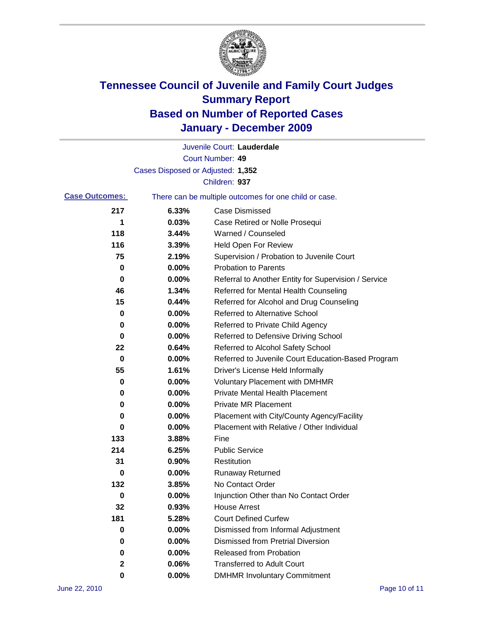

|                       |                                   | Juvenile Court: Lauderdale                            |
|-----------------------|-----------------------------------|-------------------------------------------------------|
|                       |                                   | Court Number: 49                                      |
|                       | Cases Disposed or Adjusted: 1,352 |                                                       |
|                       |                                   | Children: 937                                         |
| <b>Case Outcomes:</b> |                                   | There can be multiple outcomes for one child or case. |
| 217                   | 6.33%                             | <b>Case Dismissed</b>                                 |
| 1                     | 0.03%                             | Case Retired or Nolle Prosequi                        |
| 118                   | 3.44%                             | Warned / Counseled                                    |
| 116                   | 3.39%                             | <b>Held Open For Review</b>                           |
| 75                    | 2.19%                             | Supervision / Probation to Juvenile Court             |
| 0                     | 0.00%                             | <b>Probation to Parents</b>                           |
| 0                     | 0.00%                             | Referral to Another Entity for Supervision / Service  |
| 46                    | 1.34%                             | Referred for Mental Health Counseling                 |
| 15                    | 0.44%                             | Referred for Alcohol and Drug Counseling              |
| 0                     | 0.00%                             | <b>Referred to Alternative School</b>                 |
| 0                     | 0.00%                             | Referred to Private Child Agency                      |
| 0                     | 0.00%                             | Referred to Defensive Driving School                  |
| 22                    | 0.64%                             | Referred to Alcohol Safety School                     |
| 0                     | 0.00%                             | Referred to Juvenile Court Education-Based Program    |
| 55                    | 1.61%                             | Driver's License Held Informally                      |
| 0                     | 0.00%                             | <b>Voluntary Placement with DMHMR</b>                 |
| 0                     | 0.00%                             | <b>Private Mental Health Placement</b>                |
| 0                     | 0.00%                             | <b>Private MR Placement</b>                           |
| 0                     | 0.00%                             | Placement with City/County Agency/Facility            |
| 0                     | 0.00%                             | Placement with Relative / Other Individual            |
| 133                   | 3.88%                             | Fine                                                  |
| 214                   | 6.25%                             | <b>Public Service</b>                                 |
| 31                    | 0.90%                             | Restitution                                           |
| 0                     | 0.00%                             | <b>Runaway Returned</b>                               |
| 132                   | 3.85%                             | No Contact Order                                      |
| 0                     | 0.00%                             | Injunction Other than No Contact Order                |
| 32                    | 0.93%                             | <b>House Arrest</b>                                   |
| 181                   | 5.28%                             | <b>Court Defined Curfew</b>                           |
| 0                     | 0.00%                             | Dismissed from Informal Adjustment                    |
| 0                     | 0.00%                             | <b>Dismissed from Pretrial Diversion</b>              |
| 0                     | 0.00%                             | <b>Released from Probation</b>                        |
| $\mathbf{2}$          | 0.06%                             | <b>Transferred to Adult Court</b>                     |
| 0                     | $0.00\%$                          | <b>DMHMR Involuntary Commitment</b>                   |